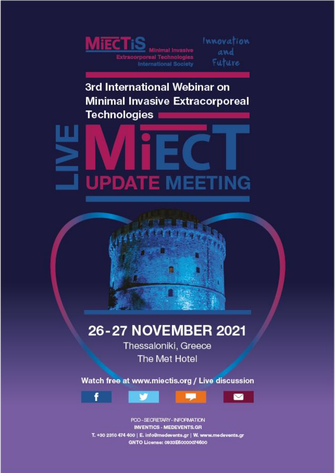

Innovation and Future

3rd International Webinar on **Minimal Invasive Extracorporeal Technologies** 





## 26-27 NOVEMBER 2021

Thessaloniki, Greece The Met Hotel

Watch free at www.miectis.org / Live discussion



POO-SECRETARY-INFORMATION **INVENTICS - MEDEVENTS.GR** T. +30 2310 474 400 | E. info@medevents.gr | W. www.medevents.gr GNTO License: 0933E60000074600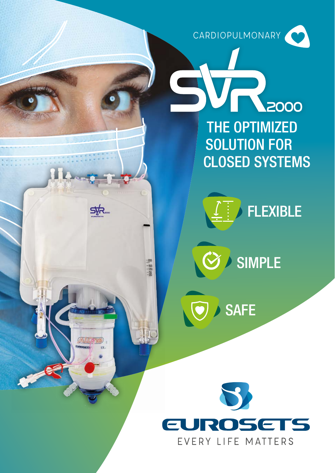CARDIOPULMONARY

2000 THE OPTIMIZED SOLUTION FOR CLOSED SYSTEMS

SIMPLE

SAFE

EVERY LIFE MATTERS

 $\sqrt{\mathcal{O}}$ 

 $\begin{array}{r}\n -200 \\
 -150 \\
 -150 \\
 -250 \\
 \end{array}$ 

**FLEXIBLE**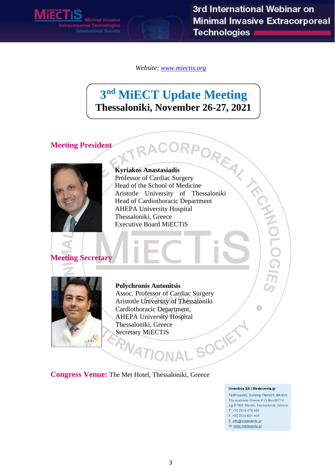*Website: [www.miectis.org](http://www.miectis.org/)*

# **3 nd MiECT Update Meeting**

#### **Meeting President**



**Thessaloniki, November 26-27, 2021**<br>
ident<br> **Exprisives Amastasiadis**<br> **Express of Cardiac Surgery**<br>
Piead of the School of Medicine<br>
Arisotte University of Thessaloniki<br>
Head of Cardionocacic Department<br>
AHEPA University **Kyriakos Anastasiadis** Professor of Cardiac Surgery Head of the School of Medicine Aristotle University of Thessaloniki Head of Cardiothoracic Department AHEPA University Hospital Thessaloniki, Greece Executive Board MiECTiS



**Meeting Secretary**

#### **Polychronis Antonitsis**

Assoc. Professor of Cardiac Surgery Aristotle University of Thessaloniki Cardiothoracic Department, AHEPA University Hospital Thessaloniki, Greece SOCIET Secretary MiECTiS

**Congress Venue:** The Met Hotel, Thessaloniki, Greece

#### **Inventics SA | Medevents.gr**

Technopolis, Building Thermi II, 9th klm Thessaloniki-Thermi, P.O. Box 60714 Zip 57001 Thermi, Thessaloniki, Greece T. +30 2310 474.400 F. +30 2310 801.454 E. info@medevents.gr W. www.medevents.gr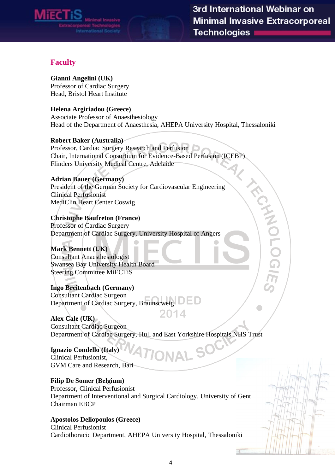

#### **Faculty**

#### **Gianni Angelini (UK)**

Professor of Cardiac Surgery Head, Bristol Heart Institute

#### **Helena Argiriadou (Greece)**

Associate Professor of Anaesthesiology Head of the Department of Anaesthesia, AHEPA University Hospital, Thessaloniki

#### **Robert Baker (Australia)**

Professor, Cardiac Surgery Research and Perfusion Flinders University Medical Centre, Adelaide

#### **Adrian Bauer (Germany)**

Chair, International Consortium for Evidence-Based Perfusion (ICEBP)<br>Flinders University Medical Centre, Adelaide<br>Adrian Bauer (Germany)<br>President of the German Society for Cardiovascular Engineering<br>Clinical Perfusionist<br> President of the German Society for Cardiovascular Engineering Clinical Perfusionist MediClin Heart Center Coswig

#### **Christophe Baufreton (France)** Professor of Cardiac Surgery

Department of Cardiac Surgery, University Hospital of Angers

#### **Mark Bennett (UK)**

Consultant Anaesthesiologist Swansea Bay University Health Board Steering Committee MiECTiS

#### **Ingo Breitenbach (Germany)**

Consultant Cardiac Surgeon Department of Cardiac Surgery, Braunscweig

2014 **Alex Cale (UK)** Consultant Cardiac Surgeon Department of Cardiac Surgery, Hull and East Yorkshire Hospitals NHS Trust

#### **Ignazio Condello (Italy)** Clinical Perfusionist, GVM Care and Research, Bari

#### **Filip De Somer (Belgium)**

Professor, Clinical Perfusionist Department of Interventional and Surgical Cardiology, University of Gent Chairman EBCP

#### **Apostolos Deliopoulos (Greece)**

Clinical Perfusionist Cardiothoracic Department, AHEPA University Hospital, Thessaloniki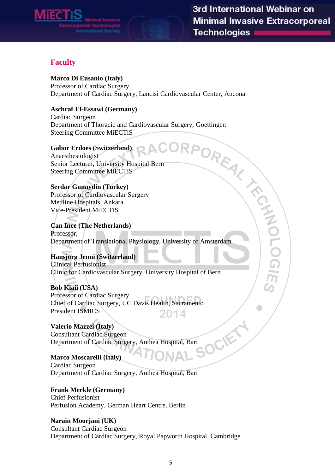

#### **Faculty**

**Marco Di Eusanio (Italy)**

Professor of Cardiac Surgery

#### **Aschraf El-Essawi (Germany)**

Cardiac Surgeon Department of Thoracic and Cardiovascular Surgery, Goettingen Steering Committee MiECTiS

#### **Gabor Erdoes (Switzerland)**

Anaesthesiologist Senior Lecturer, University Hospital Bern Steering Committee MiECTiS

#### **Serdar Gunaydin (Turkey)**

Professor of Cardiovascular Surgery Medline Hospitals, Ankara Vice-President MiECTiS

Department of Cardiac Surgery, Lancisi Cardiovascular Center, Ancona<br> **Aschraf El-Essawi (Germany)**<br>
Cardiac Surgeon<br>
Department of Thoracic and Cardiovascular Surgery, Goettingen<br>
Department of Theoretics<br> **CORP**<br>
CORP<br>
C **Can Ince (The Netherlands)** Professor, Department of Translational Physiology, University of Amsterdam

**Hansjorg Jenni (Switzerland)** Clinical Perfusionist Clinic for Cardiovascular Surgery, University Hospital of Bern

**Bob Kiaii (USA)** Professor of Cardiac Surgery Chief of Cardiac Surgery, UC Davis Health, Sacramento President ISMICS 2014

**Valerio Mazzei (Italy)** Consultant Cardiac Surgeon Department of Cardiac Surgery, Anthea Hospital, Bari

#### **Marco Moscarelli (Italy)** Cardiac Surgeon Department of Cardiac Surgery, Anthea Hospital, Bari

**Frank Merkle (Germany)** Chief Perfusionist

Perfusion Academy, German Heart Centre, Berlin

#### **Narain Moorjani (UK)**

Consultant Cardiac Surgeon Department of Cardiac Surgery, Royal Papworth Hospital, Cambridge

OCIE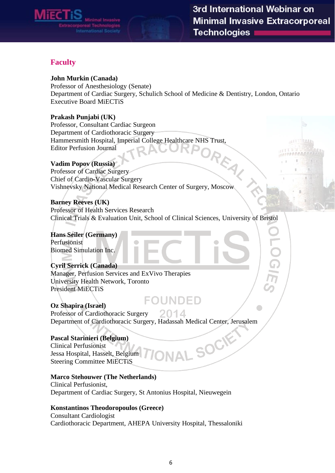

#### **Faculty**

#### **John Murkin (Canada)**

Professor of Anesthesiology (Senate) Department of Cardiac Surgery, Schulich School of Medicine & Dentistry, London, Ontario Executive Board MiECTiS

#### **Prakash Punjabi (UK)**

Professor, Consultant Cardiac Surgeon Department of Cardiothoracic Surgery Editor Perfusion Journal

#### **Vadim Popov (Russia)**

Hammersmith Hospital, Imperial College Healthcare NHS Trust,<br>Editor Perfusion Journal<br>Ranov (Russia) Professor of Cardiac Surgery Chief of Cardio-Vascular Surgery Vishnevsky National Medical Research Center of Surgery, Moscow

#### **Barney Reeves (UK)**

Professor of Health Services Research Clinical Trials & Evaluation Unit, School of Clinical Sciences, University of Bristol

**Hans Seiler (Germany)** Perfusionist Biomed Simulation Inc.

#### **Cyril Serrick (Canada)** Manager, Perfusion Services and ExVivo Therapies University Health Network, Toronto President MiECTiS

#### FOUNDED **Oz Shapira (Israel)** Professor of Cardiothoracic Surgery 2014 Department of Cardiothoracic Surgery, Hadassah Medical Center, Jerusalem

#### **Pascal Starinieri (Belgium)**

Clinical Perfusionist Jessa Hospital, Hasselt, Belgium Steering Committee MiECTiS

#### **Marco Stehouwer (The Netherlands)**

Clinical Perfusionist, Department of Cardiac Surgery, St Antonius Hospital, Nieuwegein

#### **Konstantinos Theodoropoulos (Greece)**

Consultant Cardiologist Cardiothoracic Department, AHEPA University Hospital, Thessaloniki

**IAL SOCIE**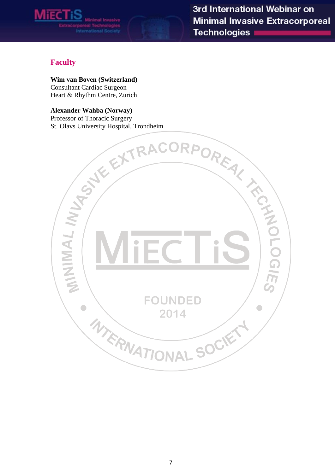

## **Faculty**

Consultant Cardiac Surgeon Heart & Rhythm Centre, Zurich

#### **Alexander Wahba (Norway)** Professor of Thoracic Surgery

St. Olavs University Hospital, Trondheim

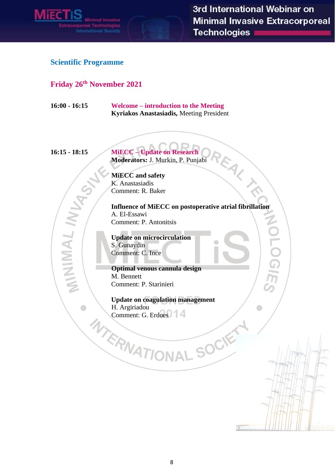

REAL TA

Ĕ

 $\blacksquare$ 

#### **Scientific Programme**

#### **Friday 26 th November 2021**

**16:00 - 16:15 Welcome – introduction to the Meeting Kyriakos Anastasiadis,** Meeting President

MINIMAL

 $\begin{array}{c} \bullet \\ \bullet \end{array}$ 

**16:15 - 18:15 MiECC – Update on Research Moderators:** J. Murkin, P. Punjabi

> **MiECC and safety** K. Anastasiadis Comment: R. Baker

**Influence of MiECC on postoperative atrial fibrillation** A. El-Essawi Comment: P. Antonitsis

**Update on microcirculation** S. Gunaydin Comment: C. Ince

**Optimal venous cannula design** M. Bennett Comment: P. Starinieri

**Update on coagulation management** H. Argiriadou<br>Comment: G. Erdoes WERNATIONAL SOCK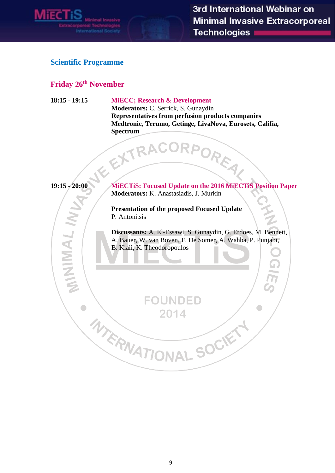

 $\bullet$ 

#### **Scientific Programme**

#### **Friday 26 th November**

#### **18:15 - 19:15 MiECC; Research & Development**

**Moderators:** C. Serrick, S. Gunaydin **Representatives from perfusion products companies Medtronic, Terumo, Getinge, LivaNova, Eurosets, Califia, Spectrum**  RPOREAL



**19:15 - 20:00 MiECTiS: Focused Update on the 2016 MiECTiS Position Paper Moderators:** K. Anastasiadis, J. Murkin

**Presentation of the proposed Focused Update**

**FOUNDED** 

2014

P. Antonitsis<br>Discussants: A. El-F<br>A. Bauer, W. van Be<br>B. Kiaii, K. Theodo<br>
FO<br>A. K. P. MATI **Discussants:** A. El-Essawi, S. Gunaydin, G. Erdoes, M. Bennett, A. Bauer, W. van Boven, F. De Somer, A. Wahba, P. Punjabi, B. Kiaii, K. Theodoropoulos

VAL SOCIET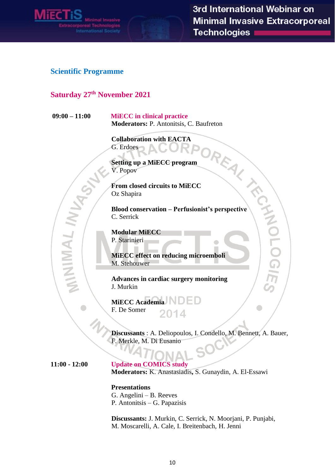

#### **Scientific Programme**

### **Saturday 27th November 2021**

**09:00 – 11:00 MiECC in clinical practice**

**Collaboration with EACTA**  G. Erdoes

**Setting up a MiECC program** V. Popov

**From closed circuits to MiECC** Oz Shapira

Moderators: P. Antonitsis, C. Baufreton<br>
Collaboration with EACTA<br>
G. Erdoes<br>
Setting up a MiECC program<br>
V. Popov<br>
From closed circuits to MiECC<br>
Oz Shapira<br>
Blood conservation – Perfusionist's perspective<br>
C. Serrick<br>
Mo **Blood conservation – Perfusionist's perspective** C. Serrick

**Modular MiECC** P. Starinieri

**MiECC effect on reducing microemboli**  M. Stehouwer

**Advances in cardiac surgery monitoring** J. Murkin

**MiECC Academia** F. De Somer 2014

**Discussants** : A. Deliopoulos, I. Condello, M. Bennett, A. Bauer, F. Merkle, M. Di Eusanio

MINIMAL

**11:00 - 12:00 Update on COMICS study Moderators:** K. Anastasiadis**,** S. Gunaydin, A. El-Essawi

> **Presentations** G. Angelini – B. Reeves P. Antonitsis – G. Papazisis

**Discussants:** J. Murkin, C. Serrick, N. Moorjani, P. Punjabi, M. Moscarelli, A. Cale, I. Breitenbach, H. Jenni